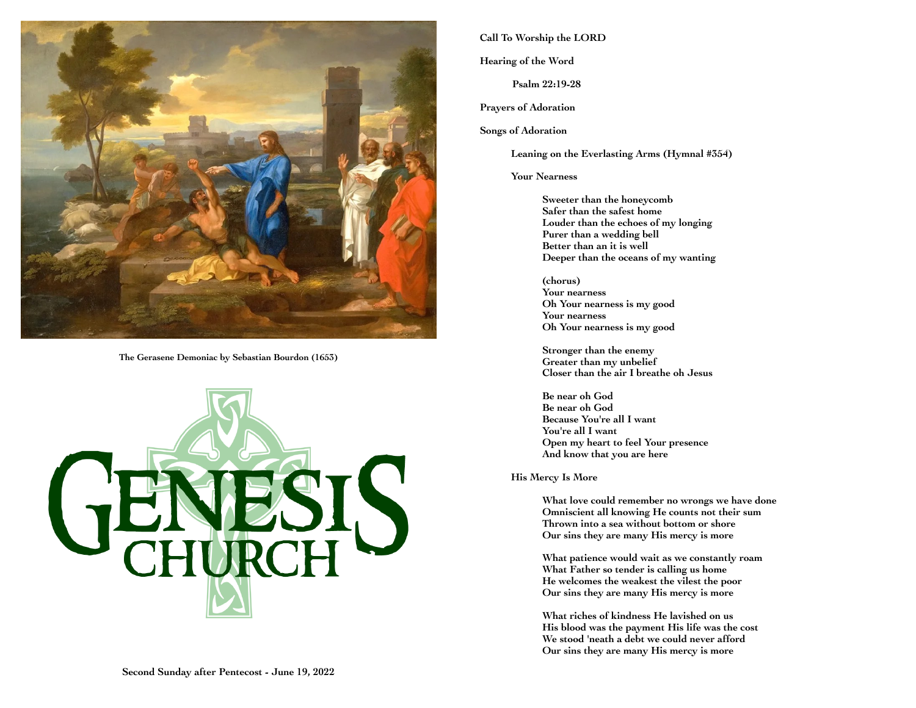

**The Gerasene Demoniac by Sebastian Bourdon (1653)**



# **Call To Worship the LORD**

**Hearing of the Word**

**Psalm 22:19-28**

**Prayers of Adoration**

**Songs of Adoration**

**Leaning on the Everlasting Arms (Hymnal #354)**

**Your Nearness** 

**Sweeter than the honeycomb Safer than the safest home Louder than the echoes of my longing Purer than a wedding bell Better than an it is well Deeper than the oceans of my wanting**

**(chorus) Your nearness Oh Your nearness is my good Your nearness Oh Your nearness is my good**

**Stronger than the enemy Greater than my unbelief Closer than the air I breathe oh Jesus**

**Be near oh God Be near oh God Because You're all I want You're all I want Open my heart to feel Your presence And know that you are here**

**His Mercy Is More**

**What love could remember no wrongs we have done Omniscient all knowing He counts not their sum Thrown into a sea without bottom or shore Our sins they are many His mercy is more**

**What patience would wait as we constantly roam What Father so tender is calling us home He welcomes the weakest the vilest the poor Our sins they are many His mercy is more**

**What riches of kindness He lavished on us His blood was the payment His life was the cost We stood 'neath a debt we could never afford Our sins they are many His mercy is more**